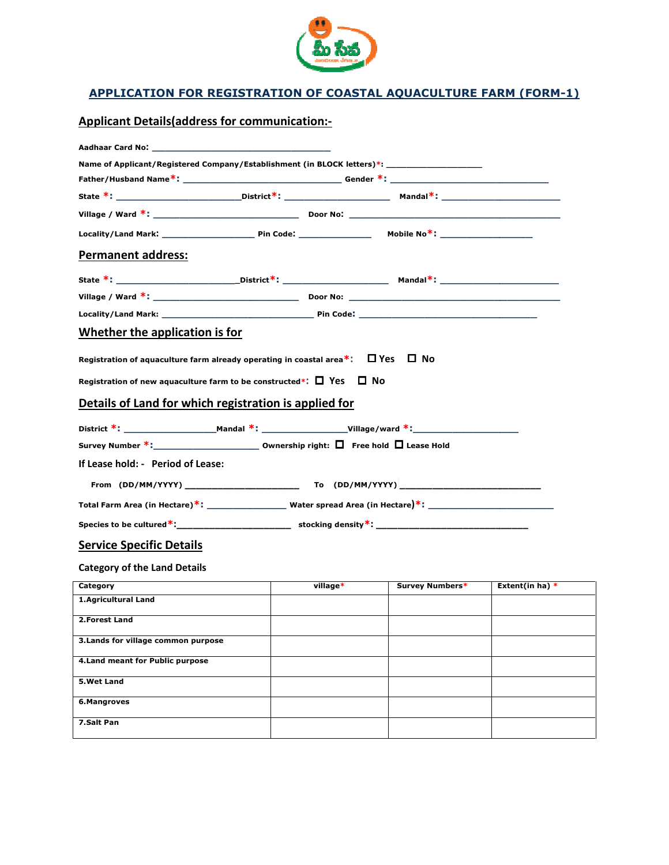

## APPLICATION FOR REGISTRATION OF COASTAL AQUACULTURE FARM (FORM APPLICATION OF COASTAL AQUACULTURE FARM (FORM-1)

Applicant Details (address for communication:-

| Name of Applicant/Registered Company/Establishment (in BLOCK letters)*: ____________________________ |          |                        |                   |  |  |
|------------------------------------------------------------------------------------------------------|----------|------------------------|-------------------|--|--|
|                                                                                                      |          |                        |                   |  |  |
|                                                                                                      |          |                        |                   |  |  |
|                                                                                                      |          |                        |                   |  |  |
|                                                                                                      |          |                        |                   |  |  |
| <b>Permanent address:</b>                                                                            |          |                        |                   |  |  |
|                                                                                                      |          |                        |                   |  |  |
|                                                                                                      |          |                        |                   |  |  |
|                                                                                                      |          |                        |                   |  |  |
| Whether the application is for                                                                       |          |                        |                   |  |  |
| Registration of aquaculture farm already operating in coastal area*: $\Box$ Yes $\Box$ No            |          |                        |                   |  |  |
| Registration of new aquaculture farm to be constructed*: $\Box$ Yes $\Box$ No                        |          |                        |                   |  |  |
| Details of Land for which registration is applied for                                                |          |                        |                   |  |  |
|                                                                                                      |          |                        |                   |  |  |
| Survey Number *:___________________________ Ownership right: □ Free hold □ Lease Hold                |          |                        |                   |  |  |
| If Lease hold: - Period of Lease:                                                                    |          |                        |                   |  |  |
|                                                                                                      |          |                        |                   |  |  |
|                                                                                                      |          |                        |                   |  |  |
|                                                                                                      |          |                        |                   |  |  |
| <b>Service Specific Details</b>                                                                      |          |                        |                   |  |  |
| <b>Category of the Land Details</b>                                                                  |          |                        |                   |  |  |
| Category                                                                                             | village* | <b>Survey Numbers*</b> | Extent(in ha) $*$ |  |  |
| 1.Agricultural Land                                                                                  |          |                        |                   |  |  |
| 2.Forest Land                                                                                        |          |                        |                   |  |  |
| 3. Lands for village common purpose                                                                  |          |                        |                   |  |  |
| 4. Land meant for Public purpose                                                                     |          |                        |                   |  |  |
| 5.Wet Land                                                                                           |          |                        |                   |  |  |
| 6.Mangroves                                                                                          |          |                        |                   |  |  |
| 7.Salt Pan                                                                                           |          |                        |                   |  |  |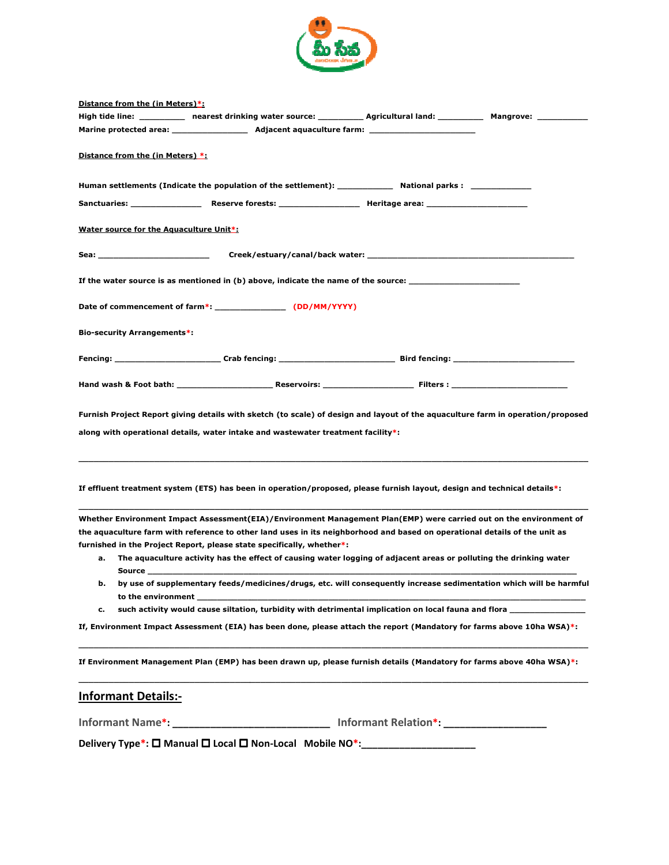

| Distance from the (in Meters)*:                                                                                                                                                                                                            |                                                                                                                                                                                                                                                                                                                                                                                                                                                 |  |
|--------------------------------------------------------------------------------------------------------------------------------------------------------------------------------------------------------------------------------------------|-------------------------------------------------------------------------------------------------------------------------------------------------------------------------------------------------------------------------------------------------------------------------------------------------------------------------------------------------------------------------------------------------------------------------------------------------|--|
|                                                                                                                                                                                                                                            | High tide line: __________ nearest drinking water source: _________ Agricultural land: _________ Mangrove: _________                                                                                                                                                                                                                                                                                                                            |  |
|                                                                                                                                                                                                                                            |                                                                                                                                                                                                                                                                                                                                                                                                                                                 |  |
| Distance from the (in Meters) *:                                                                                                                                                                                                           |                                                                                                                                                                                                                                                                                                                                                                                                                                                 |  |
|                                                                                                                                                                                                                                            | Human settlements (Indicate the population of the settlement): ______________ National parks : ______________                                                                                                                                                                                                                                                                                                                                   |  |
|                                                                                                                                                                                                                                            |                                                                                                                                                                                                                                                                                                                                                                                                                                                 |  |
| Water source for the Aquaculture Unit*:                                                                                                                                                                                                    |                                                                                                                                                                                                                                                                                                                                                                                                                                                 |  |
| Sea: Album and the contract of the contract of the contract of the contract of the contract of the contract of                                                                                                                             |                                                                                                                                                                                                                                                                                                                                                                                                                                                 |  |
|                                                                                                                                                                                                                                            | If the water source is as mentioned in (b) above, indicate the name of the source: ___________________________                                                                                                                                                                                                                                                                                                                                  |  |
|                                                                                                                                                                                                                                            |                                                                                                                                                                                                                                                                                                                                                                                                                                                 |  |
| Bio-security Arrangements*:                                                                                                                                                                                                                |                                                                                                                                                                                                                                                                                                                                                                                                                                                 |  |
|                                                                                                                                                                                                                                            | Fencing: _________________________Crab fencing: ________________________________Bird fencing: ______________________                                                                                                                                                                                                                                                                                                                            |  |
|                                                                                                                                                                                                                                            |                                                                                                                                                                                                                                                                                                                                                                                                                                                 |  |
|                                                                                                                                                                                                                                            | Furnish Project Report giving details with sketch (to scale) of design and layout of the aquaculture farm in operation/proposed<br>along with operational details, water intake and wastewater treatment facility*:                                                                                                                                                                                                                             |  |
|                                                                                                                                                                                                                                            | If effluent treatment system (ETS) has been in operation/proposed, please furnish layout, design and technical details*:                                                                                                                                                                                                                                                                                                                        |  |
| а.<br><b>Source in the Source of the Source of the Source of the Source of the Source of the Source of the Source of the Source of the Source of the Source of the Source of the Source of the Source of the Source of the Source of t</b> | Whether Environment Impact Assessment(EIA)/Environment Management Plan(EMP) were carried out on the environment of<br>the aquaculture farm with reference to other land uses in its neighborhood and based on operational details of the unit as<br>furnished in the Project Report, please state specifically, whether*:<br>The aquaculture activity has the effect of causing water logging of adjacent areas or polluting the drinking water |  |
| b.<br>to the environment                                                                                                                                                                                                                   | by use of supplementary feeds/medicines/drugs, etc. will consequently increase sedimentation which will be harmful                                                                                                                                                                                                                                                                                                                              |  |
| c.                                                                                                                                                                                                                                         | such activity would cause siltation, turbidity with detrimental implication on local fauna and flora ___________                                                                                                                                                                                                                                                                                                                                |  |
|                                                                                                                                                                                                                                            | If, Environment Impact Assessment (EIA) has been done, please attach the report (Mandatory for farms above 10ha WSA)*:                                                                                                                                                                                                                                                                                                                          |  |
|                                                                                                                                                                                                                                            | If Environment Management Plan (EMP) has been drawn up, please furnish details (Mandatory for farms above 40ha WSA)*:                                                                                                                                                                                                                                                                                                                           |  |
| <b>Informant Details:-</b>                                                                                                                                                                                                                 |                                                                                                                                                                                                                                                                                                                                                                                                                                                 |  |
|                                                                                                                                                                                                                                            | Informant Name*: _____________________________ Informant Relation*: ___________________                                                                                                                                                                                                                                                                                                                                                         |  |
|                                                                                                                                                                                                                                            | Delivery Type*: □ Manual □ Local □ Non-Local Mobile NO*: _______________                                                                                                                                                                                                                                                                                                                                                                        |  |